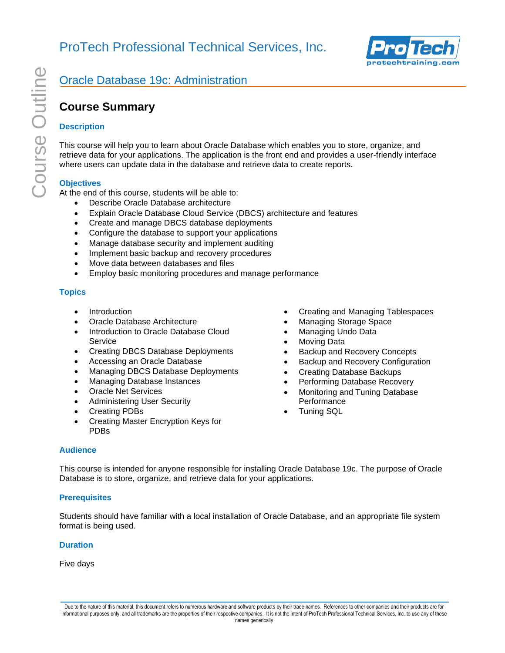

# **Course Summary**

## **Description**

This course will help you to learn about Oracle Database which enables you to store, organize, and retrieve data for your applications. The application is the front end and provides a user-friendly interface where users can update data in the database and retrieve data to create reports.

## **Objectives**

At the end of this course, students will be able to:

- Describe Oracle Database architecture
- Explain Oracle Database Cloud Service (DBCS) architecture and features
- Create and manage DBCS database deployments
- Configure the database to support your applications
- Manage database security and implement auditing
- Implement basic backup and recovery procedures
- Move data between databases and files
- Employ basic monitoring procedures and manage performance

## **Topics**

- **Introduction**
- Oracle Database Architecture
- Introduction to Oracle Database Cloud **Service**
- Creating DBCS Database Deployments
- Accessing an Oracle Database
- Managing DBCS Database Deployments
- Managing Database Instances
- Oracle Net Services
- Administering User Security
- Creating PDBs
- Creating Master Encryption Keys for PDBs
- Creating and Managing Tablespaces
- Managing Storage Space
- Managing Undo Data
- **Moving Data**
- Backup and Recovery Concepts
- Backup and Recovery Configuration
- Creating Database Backups
- Performing Database Recovery
- Monitoring and Tuning Database **Performance**
- Tuning SQL

### **Audience**

This course is intended for anyone responsible for installing Oracle Database 19c. The purpose of Oracle Database is to store, organize, and retrieve data for your applications.

### **Prerequisites**

Students should have familiar with a local installation of Oracle Database, and an appropriate file system format is being used.

#### **Duration**

Five days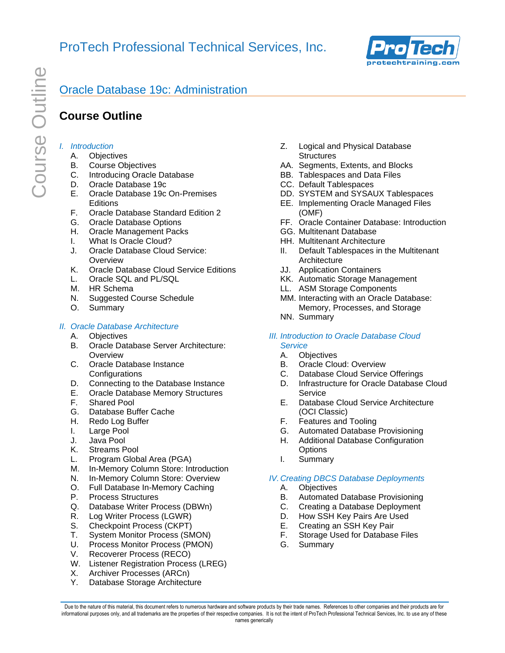

# **Course Outline**

### *I. Introduction*

- A. Objectives
- B. Course Objectives
- C. Introducing Oracle Database
- D. Oracle Database 19c
- E. Oracle Database 19c On-Premises **Editions**
- F. Oracle Database Standard Edition 2
- G. Oracle Database Options
- H. Oracle Management Packs
- I. What Is Oracle Cloud?
- J. Oracle Database Cloud Service: **Overview**
- K. Oracle Database Cloud Service Editions
- L. Oracle SQL and PL/SQL
- M. HR Schema
- N. Suggested Course Schedule
- O. Summary

### *II. Oracle Database Architecture*

- A. Objectives
- B. Oracle Database Server Architecture: **Overview**
- C. Oracle Database Instance **Configurations**
- D. Connecting to the Database Instance
- E. Oracle Database Memory Structures
- F. Shared Pool
- G. Database Buffer Cache
- H. Redo Log Buffer
- I. Large Pool
- J. Java Pool
- K. Streams Pool
- L. Program Global Area (PGA)
- M. In-Memory Column Store: Introduction
- N. In-Memory Column Store: Overview
- O. Full Database In-Memory Caching
- P. Process Structures
- Q. Database Writer Process (DBWn)
- R. Log Writer Process (LGWR)
- S. Checkpoint Process (CKPT)
- T. System Monitor Process (SMON)
- U. Process Monitor Process (PMON)
- V. Recoverer Process (RECO)
- W. Listener Registration Process (LREG)
- X. Archiver Processes (ARCn)
- Y. Database Storage Architecture
- Z. Logical and Physical Database **Structures**
- AA. Segments, Extents, and Blocks
- BB. Tablespaces and Data Files
- CC. Default Tablespaces
- DD. SYSTEM and SYSAUX Tablespaces
- EE. Implementing Oracle Managed Files (OMF)
- FF. Oracle Container Database: Introduction
- GG. Multitenant Database
- HH. Multitenant Architecture
- II. Default Tablespaces in the Multitenant **Architecture**
- JJ. Application Containers
- KK. Automatic Storage Management
- LL. ASM Storage Components
- MM. Interacting with an Oracle Database: Memory, Processes, and Storage
- NN. Summary
- *III. Introduction to Oracle Database Cloud Service*
	- A. Objectives
	- B. Oracle Cloud: Overview
	- C. Database Cloud Service Offerings
	- D. Infrastructure for Oracle Database Cloud **Service**
	- E. Database Cloud Service Architecture (OCI Classic)
	- F. Features and Tooling
	- G. Automated Database Provisioning
	- H. Additional Database Configuration **Options**
	- I. Summary

### *IV. Creating DBCS Database Deployments*

- A. Objectives
- B. Automated Database Provisioning
- C. Creating a Database Deployment
- D. How SSH Key Pairs Are Used
- E. Creating an SSH Key Pair
- F. Storage Used for Database Files
- G. Summary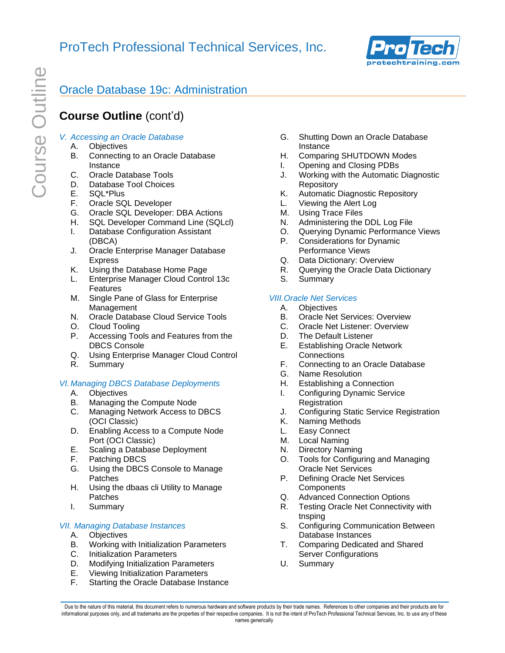

# **Course Outline** (cont'd)

### *V. Accessing an Oracle Database*

- A. Objectives
- B. Connecting to an Oracle Database Instance
- C. Oracle Database Tools
- D. Database Tool Choices
- E. SQL\*Plus
- F. Oracle SQL Developer
- G. Oracle SQL Developer: DBA Actions
- H. SQL Developer Command Line (SQLcl)
- I. Database Configuration Assistant (DBCA)
- J. Oracle Enterprise Manager Database Express
- K. Using the Database Home Page
- L. Enterprise Manager Cloud Control 13c Features
- M. Single Pane of Glass for Enterprise Management
- N. Oracle Database Cloud Service Tools
- O. Cloud Tooling
- P. Accessing Tools and Features from the DBCS Console
- Q. Using Enterprise Manager Cloud Control
- R. Summary

### *VI. Managing DBCS Database Deployments*

- A. Objectives
- B. Managing the Compute Node
- C. Managing Network Access to DBCS (OCI Classic)
- D. Enabling Access to a Compute Node Port (OCI Classic)
- E. Scaling a Database Deployment
- F. Patching DBCS
- G. Using the DBCS Console to Manage Patches
- H. Using the dbaas cli Utility to Manage Patches
- I. Summary

### *VII. Managing Database Instances*

- A. Objectives
- B. Working with Initialization Parameters
- C. Initialization Parameters
- D. Modifying Initialization Parameters
- E. Viewing Initialization Parameters
- F. Starting the Oracle Database Instance
- G. Shutting Down an Oracle Database Instance
- H. Comparing SHUTDOWN Modes
- I. Opening and Closing PDBs
- J. Working with the Automatic Diagnostic Repository
- K. Automatic Diagnostic Repository
- L. Viewing the Alert Log
- M. Using Trace Files
- N. Administering the DDL Log File<br>O. Ouerving Dynamic Performance
- Querying Dynamic Performance Views
- P. Considerations for Dynamic Performance Views
- Q. Data Dictionary: Overview
- R. Querying the Oracle Data Dictionary
- S. Summary

#### *VIII.Oracle Net Services*

- A. Objectives
- B. Oracle Net Services: Overview
- C. Oracle Net Listener: Overview
- D. The Default Listener
- E. Establishing Oracle Network **Connections**
- F. Connecting to an Oracle Database
- G. Name Resolution
- H. Establishing a Connection
- I. Configuring Dynamic Service **Registration**
- J. Configuring Static Service Registration
- Naming Methods
- L. Easy Connect
- M. Local Naming
- N. Directory Naming
- O. Tools for Configuring and Managing Oracle Net Services
- P. Defining Oracle Net Services **Components**
- Q. Advanced Connection Options
- R. Testing Oracle Net Connectivity with tnsping
- S. Configuring Communication Between Database Instances
- T. Comparing Dedicated and Shared Server Configurations
- U. Summary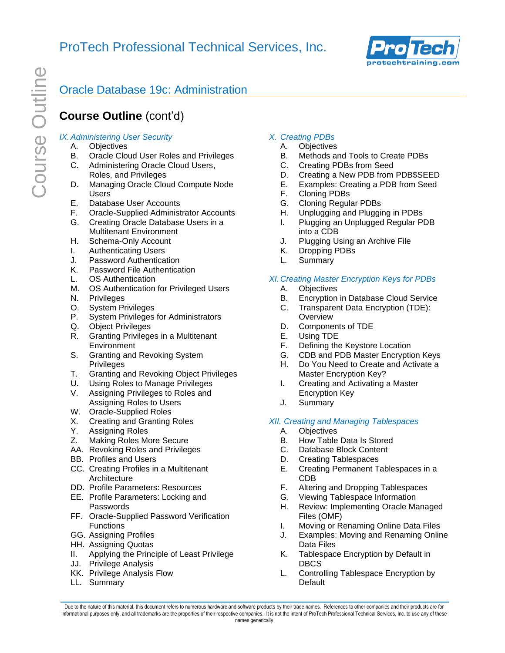

# **Course Outline** (cont'd)

### *IX.Administering User Security*

- A. Objectives
- B. Oracle Cloud User Roles and Privileges
- C. Administering Oracle Cloud Users, Roles, and Privileges
- D. Managing Oracle Cloud Compute Node Users
- E. Database User Accounts
- F. Oracle-Supplied Administrator Accounts
- G. Creating Oracle Database Users in a Multitenant Environment
- H. Schema-Only Account
- I. Authenticating Users
- J. Password Authentication
- K. Password File Authentication
- L. OS Authentication
- M. OS Authentication for Privileged Users
- N. Privileges
- O. System Privileges
- P. System Privileges for Administrators
- Q. Object Privileges
- R. Granting Privileges in a Multitenant **Environment**
- S. Granting and Revoking System Privileges
- T. Granting and Revoking Object Privileges
- U. Using Roles to Manage Privileges
- V. Assigning Privileges to Roles and Assigning Roles to Users
- W. Oracle-Supplied Roles
- X. Creating and Granting Roles
- Y. Assigning Roles
- Z. Making Roles More Secure
- AA. Revoking Roles and Privileges
- BB. Profiles and Users
- CC. Creating Profiles in a Multitenant **Architecture**
- DD. Profile Parameters: Resources
- EE. Profile Parameters: Locking and Passwords
- FF. Oracle-Supplied Password Verification **Functions**
- GG. Assigning Profiles
- HH. Assigning Quotas
- II. Applying the Principle of Least Privilege
- JJ. Privilege Analysis
- KK. Privilege Analysis Flow
- LL. Summary

### *X. Creating PDBs*

- A. Objectives
- B. Methods and Tools to Create PDBs
- C. Creating PDBs from Seed
- D. Creating a New PDB from PDB\$SEED
- E. Examples: Creating a PDB from Seed
- F. Cloning PDBs
- G. Cloning Regular PDBs
- H. Unplugging and Plugging in PDBs
- I. Plugging an Unplugged Regular PDB into a CDB
- J. Plugging Using an Archive File
- K. Dropping PDBs
- L. Summary

### *XI. Creating Master Encryption Keys for PDBs*

- A. Objectives
- B. Encryption in Database Cloud Service
- C. Transparent Data Encryption (TDE): **Overview**
- D. Components of TDE
- E. Using TDE
- F. Defining the Keystore Location
- G. CDB and PDB Master Encryption Keys
- H. Do You Need to Create and Activate a Master Encryption Key?
- I. Creating and Activating a Master Encryption Key
- J. Summary

#### *XII. Creating and Managing Tablespaces*

- A. Objectives
- B. How Table Data Is Stored
- C. Database Block Content
- D. Creating Tablespaces
- E. Creating Permanent Tablespaces in a CDB
- F. Altering and Dropping Tablespaces
- G. Viewing Tablespace Information
- H. Review: Implementing Oracle Managed Files (OMF)
- I. Moving or Renaming Online Data Files
- J. Examples: Moving and Renaming Online Data Files
- K. Tablespace Encryption by Default in DBCS
- L. Controlling Tablespace Encryption by **Default**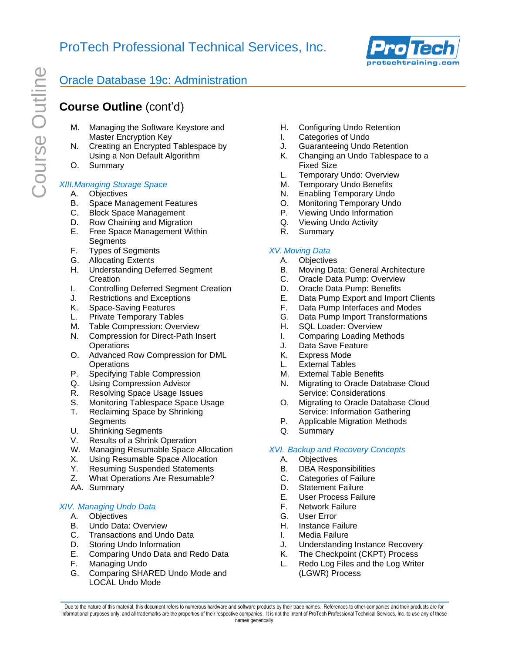

# **Course Outline** (cont'd)

- M. Managing the Software Keystore and Master Encryption Key
- N. Creating an Encrypted Tablespace by Using a Non Default Algorithm
- O. Summary

# *XIII.Managing Storage Space*

- A. Objectives
- B. Space Management Features
- C. Block Space Management
- D. Row Chaining and Migration
- E. Free Space Management Within **Segments**
- F. Types of Segments
- G. Allocating Extents
- H. Understanding Deferred Segment Creation
- I. Controlling Deferred Segment Creation
- J. Restrictions and Exceptions
- K. Space-Saving Features
- L. Private Temporary Tables
- M. Table Compression: Overview
- N. Compression for Direct-Path Insert **Operations**
- O. Advanced Row Compression for DML **Operations**
- P. Specifying Table Compression
- Q. Using Compression Advisor
- R. Resolving Space Usage Issues
- S. Monitoring Tablespace Space Usage
- T. Reclaiming Space by Shrinking **Segments**
- U. Shrinking Segments
- V. Results of a Shrink Operation
- W. Managing Resumable Space Allocation
- X. Using Resumable Space Allocation
- Y. Resuming Suspended Statements<br>Z. What Operations Are Resumable?
- What Operations Are Resumable?
- AA. Summary

## *XIV. Managing Undo Data*

- A. Objectives
- B. Undo Data: Overview
- C. Transactions and Undo Data
- D. Storing Undo Information
- E. Comparing Undo Data and Redo Data
- F. Managing Undo
- G. Comparing SHARED Undo Mode and LOCAL Undo Mode
- H. Configuring Undo Retention
- I. Categories of Undo
- J. Guaranteeing Undo Retention
- K. Changing an Undo Tablespace to a Fixed Size
- L. Temporary Undo: Overview
- M. Temporary Undo Benefits
- N. Enabling Temporary Undo
- O. Monitoring Temporary Undo
- P. Viewing Undo Information
- Q. Viewing Undo Activity
- R. Summary

## *XV. Moving Data*

- A. Objectives
- B. Moving Data: General Architecture
- C. Oracle Data Pump: Overview
- D. Oracle Data Pump: Benefits
- E. Data Pump Export and Import Clients
- F. Data Pump Interfaces and Modes
- G. Data Pump Import Transformations
- H. SQL Loader: Overview
- I. Comparing Loading Methods
- J. Data Save Feature
- K. Express Mode
- L. External Tables
- M. External Table Benefits
- N. Migrating to Oracle Database Cloud Service: Considerations
- O. Migrating to Oracle Database Cloud Service: Information Gathering
- P. Applicable Migration Methods
- Q. Summary

### *XVI. Backup and Recovery Concepts*

- A. Objectives
- B. DBA Responsibilities
- C. Categories of Failure
- D. Statement Failure
- E. User Process Failure
- F. Network Failure
- G. User Error
- H. Instance Failure
- I. Media Failure
- J. Understanding Instance Recovery
- K. The Checkpoint (CKPT) Process
- L. Redo Log Files and the Log Writer (LGWR) Process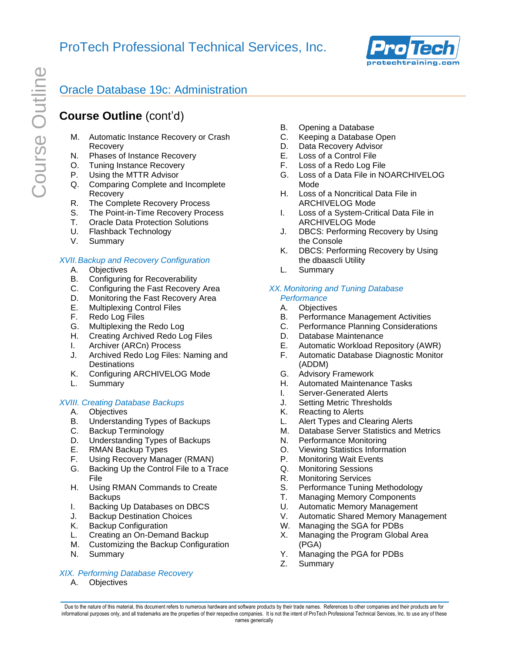

# **Course Outline** (cont'd)

- M. Automatic Instance Recovery or Crash Recovery
- N. Phases of Instance Recovery
- O. Tuning Instance Recovery
- P. Using the MTTR Advisor
- Q. Comparing Complete and Incomplete Recovery
- R. The Complete Recovery Process
- S. The Point-in-Time Recovery Process
- T. Oracle Data Protection Solutions
- U. Flashback Technology
- V. Summary

#### *XVII.Backup and Recovery Configuration*

- A. Objectives
- B. Configuring for Recoverability
- C. Configuring the Fast Recovery Area
- D. Monitoring the Fast Recovery Area
- E. Multiplexing Control Files
- F. Redo Log Files
- G. Multiplexing the Redo Log
- H. Creating Archived Redo Log Files
- I. Archiver (ARCn) Process
- J. Archived Redo Log Files: Naming and **Destinations**
- K. Configuring ARCHIVELOG Mode
- L. Summary

### *XVIII. Creating Database Backups*

- A. Objectives
- B. Understanding Types of Backups
- C. Backup Terminology
- D. Understanding Types of Backups
- E. RMAN Backup Types
- F. Using Recovery Manager (RMAN)
- G. Backing Up the Control File to a Trace File
- H. Using RMAN Commands to Create **Backups**
- I. Backing Up Databases on DBCS
- J. Backup Destination Choices
- K. Backup Configuration
- L. Creating an On-Demand Backup
- M. Customizing the Backup Configuration
- N. Summary

### *XIX. Performing Database Recovery*

A. Objectives

- B. Opening a Database
- C. Keeping a Database Open
- D. Data Recovery Advisor
- E. Loss of a Control File
- F. Loss of a Redo Log File
- G. Loss of a Data File in NOARCHIVELOG Mode
- H. Loss of a Noncritical Data File in ARCHIVELOG Mode
- I. Loss of a System-Critical Data File in ARCHIVELOG Mode
- J. DBCS: Performing Recovery by Using the Console
- K. DBCS: Performing Recovery by Using the dbaascli Utility
- L. Summary

#### *XX. Monitoring and Tuning Database Performance*

- A. Objectives
- B. Performance Management Activities
- C. Performance Planning Considerations
- D. Database Maintenance
- E. Automatic Workload Repository (AWR)
- F. Automatic Database Diagnostic Monitor (ADDM)
- G. Advisory Framework
- H. Automated Maintenance Tasks
- I. Server-Generated Alerts
- J. Setting Metric Thresholds
- K. Reacting to Alerts
- L. Alert Types and Clearing Alerts
- M. Database Server Statistics and Metrics
- N. Performance Monitoring
- O. Viewing Statistics Information
- P. Monitoring Wait Events
- Q. Monitoring Sessions
- R. Monitoring Services
- S. Performance Tuning Methodology
- T. Managing Memory Components
- U. Automatic Memory Management
- V. Automatic Shared Memory Management
- W. Managing the SGA for PDBs
- X. Managing the Program Global Area (PGA)
- Y. Managing the PGA for PDBs
- Z. Summary